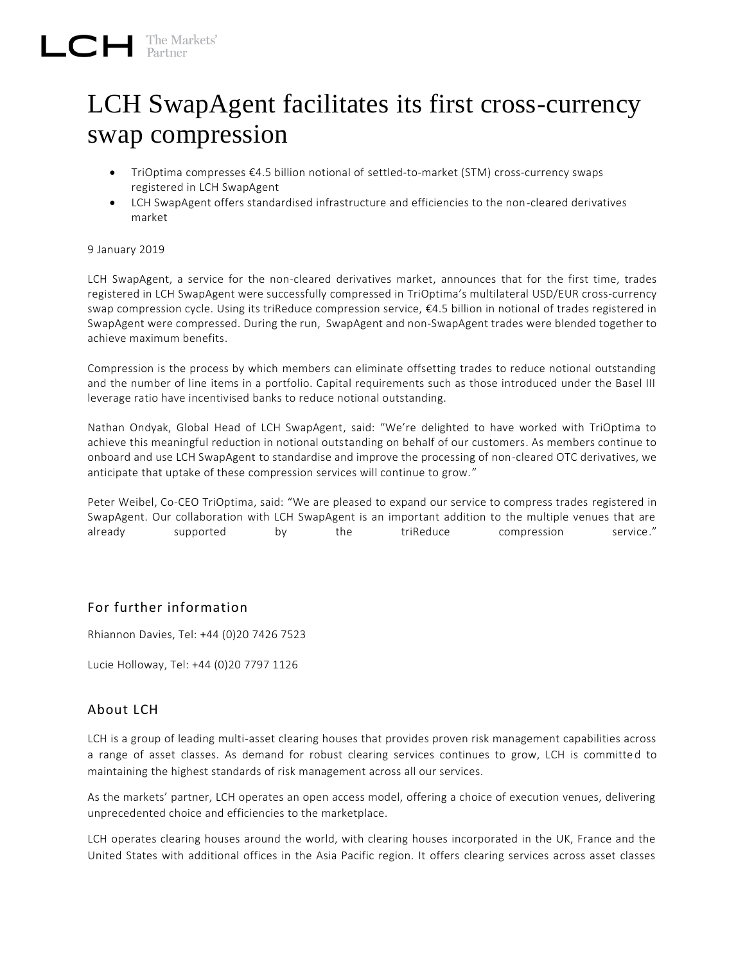## LCH SwapAgent facilitates its first cross-currency swap compression

- TriOptima compresses €4.5 billion notional of settled-to-market (STM) cross-currency swaps registered in LCH SwapAgent
- LCH SwapAgent offers standardised infrastructure and efficiencies to the non-cleared derivatives market

## 9 January 2019

LCH SwapAgent, a service for the non-cleared derivatives market, announces that for the first time, trades registered in LCH SwapAgent were successfully compressed in TriOptima's multilateral USD/EUR cross-currency swap compression cycle. Using its triReduce compression service, €4.5 billion in notional of trades registered in SwapAgent were compressed. During the run, SwapAgent and non-SwapAgent trades were blended together to achieve maximum benefits.

Compression is the process by which members can eliminate offsetting trades to reduce notional outstanding and the number of line items in a portfolio. Capital requirements such as those introduced under the Basel III leverage ratio have incentivised banks to reduce notional outstanding.

Nathan Ondyak, Global Head of LCH SwapAgent, said: "We're delighted to have worked with TriOptima to achieve this meaningful reduction in notional outstanding on behalf of our customers. As members continue to onboard and use LCH SwapAgent to standardise and improve the processing of non-cleared OTC derivatives, we anticipate that uptake of these compression services will continue to grow. "

Peter Weibel, Co-CEO TriOptima, said: "We are pleased to expand our service to compress trades registered in SwapAgent. Our collaboration with LCH SwapAgent is an important addition to the multiple venues that are already supported by the triReduce compression service."

## For further information

Rhiannon Davies, Tel: +44 (0)20 7426 7523

Lucie Holloway, Tel: +44 (0)20 7797 1126

## About LCH

LCH is a group of leading multi-asset clearing houses that provides proven risk management capabilities across a range of asset classes. As demand for robust clearing services continues to grow, LCH is committe d to maintaining the highest standards of risk management across all our services.

As the markets' partner, LCH operates an open access model, offering a choice of execution venues, delivering unprecedented choice and efficiencies to the marketplace.

LCH operates clearing houses around the world, with clearing houses incorporated in the UK, France and the United States with additional offices in the Asia Pacific region. It offers clearing services across asset classes